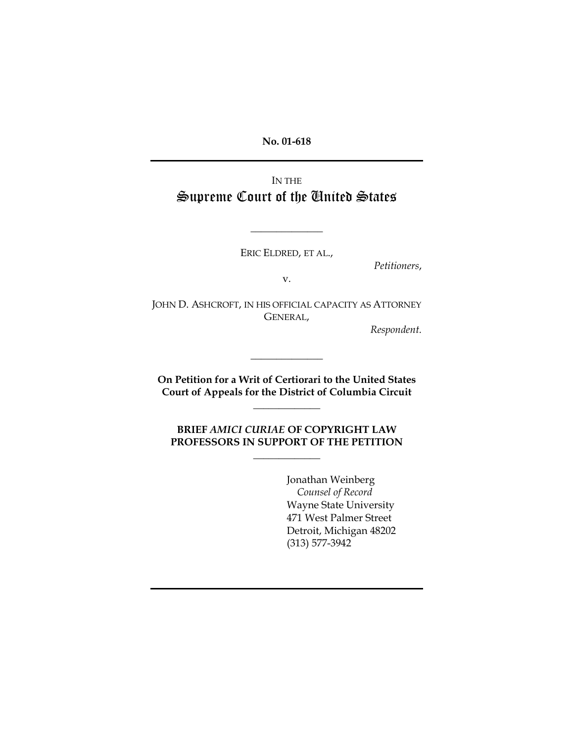**No. 01-618** 

IN THE Supreme Court of the United States

ERIC ELDRED, ET AL.,

**\_\_\_\_\_\_\_\_\_\_\_\_\_\_**

*Petitioners*,

v.

JOHN D. ASHCROFT, IN HIS OFFICIAL CAPACITY AS ATTORNEY GENERAL,

*Respondent.* 

**On Petition for a Writ of Certiorari to the United States Court of Appeals for the District of Columbia Circuit** 

**\_\_\_\_\_\_\_\_\_\_\_\_\_** 

**\_\_\_\_\_\_\_\_\_\_\_\_\_\_** 

**BRIEF** *AMICI CURIAE* **OF COPYRIGHT LAW PROFESSORS IN SUPPORT OF THE PETITION** 

**\_\_\_\_\_\_\_\_\_\_\_\_\_** 

Jonathan Weinberg *Counsel of Record*  Wayne State University 471 West Palmer Street Detroit, Michigan 48202 (313) 577-3942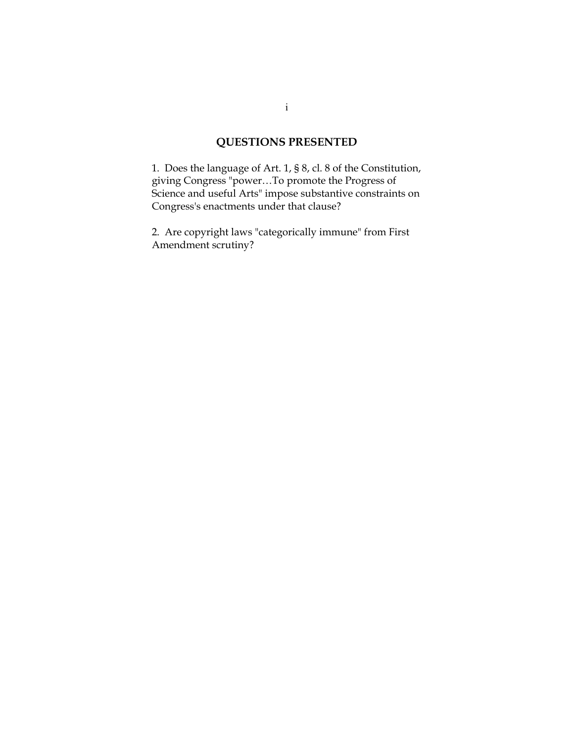# **QUESTIONS PRESENTED**

1. Does the language of Art. 1, § 8, cl. 8 of the Constitution, giving Congress "power…To promote the Progress of Science and useful Arts" impose substantive constraints on Congress's enactments under that clause?

2. Are copyright laws "categorically immune" from First Amendment scrutiny?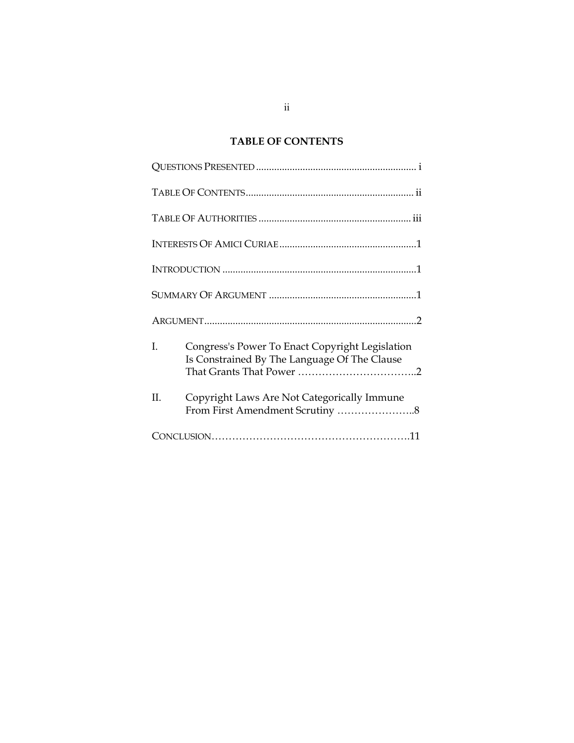## **TABLE OF CONTENTS**

| L  | Congress's Power To Enact Copyright Legislation<br>Is Constrained By The Language Of The Clause |
|----|-------------------------------------------------------------------------------------------------|
| Η. | Copyright Laws Are Not Categorically Immune<br>From First Amendment Scrutiny 8                  |
|    |                                                                                                 |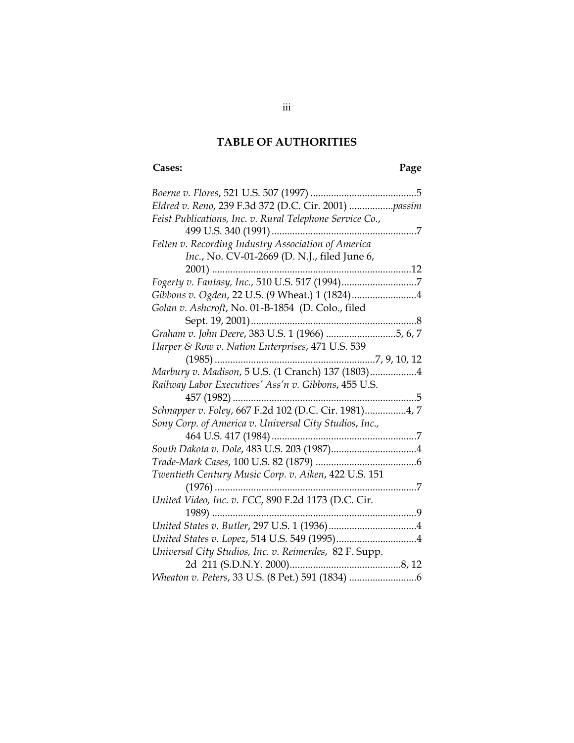## **TABLE OF AUTHORITIES**

# **Cases: Page**

| Eldred v. Reno, 239 F.3d 372 (D.C. Cir. 2001)  passim    |
|----------------------------------------------------------|
| Feist Publications, Inc. v. Rural Telephone Service Co., |
|                                                          |
| Felten v. Recording Industry Association of America      |
| Inc., No. CV-01-2669 (D. N.J., filed June 6,             |
|                                                          |
|                                                          |
| Gibbons v. Ogden, 22 U.S. (9 Wheat.) 1 (1824)4           |
| Golan v. Ashcroft, No. 01-B-1854 (D. Colo., filed        |
|                                                          |
| Graham v. John Deere, 383 U.S. 1 (1966) 5, 6, 7          |
| Harper & Row v. Nation Enterprises, 471 U.S. 539         |
|                                                          |
| Marbury v. Madison, 5 U.S. (1 Cranch) 137 (1803)4        |
| Railway Labor Executives' Ass'n v. Gibbons, 455 U.S.     |
|                                                          |
| Schnapper v. Foley, 667 F.2d 102 (D.C. Cir. 1981)4, 7    |
| Sony Corp. of America v. Universal City Studios, Inc.,   |
| 464 U.S. 417 (1984)                                      |
|                                                          |
|                                                          |
| Twentieth Century Music Corp. v. Aiken, 422 U.S. 151     |
|                                                          |
| United Video, Inc. v. FCC, 890 F.2d 1173 (D.C. Cir.      |
|                                                          |
|                                                          |
|                                                          |
| Universal City Studios, Inc. v. Reimerdes, 82 F. Supp.   |
|                                                          |
|                                                          |
|                                                          |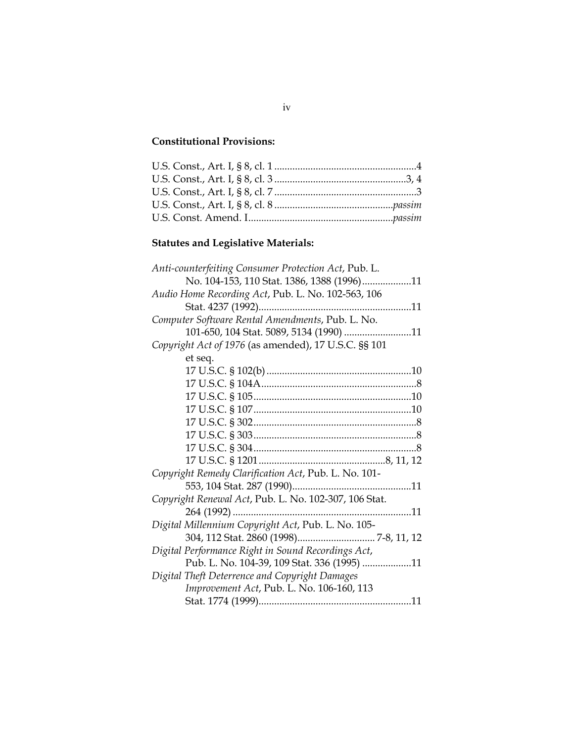## **Constitutional Provisions:**

# **Statutes and Legislative Materials:**

| Anti-counterfeiting Consumer Protection Act, Pub. L.  |
|-------------------------------------------------------|
| No. 104-153, 110 Stat. 1386, 1388 (1996)11            |
| Audio Home Recording Act, Pub. L. No. 102-563, 106    |
|                                                       |
| Computer Software Rental Amendments, Pub. L. No.      |
| 101-650, 104 Stat. 5089, 5134 (1990) 11               |
| Copyright Act of 1976 (as amended), 17 U.S.C. §§ 101  |
| et seq.                                               |
|                                                       |
|                                                       |
|                                                       |
|                                                       |
|                                                       |
|                                                       |
|                                                       |
|                                                       |
| Copyright Remedy Clarification Act, Pub. L. No. 101-  |
|                                                       |
| Copyright Renewal Act, Pub. L. No. 102-307, 106 Stat. |
|                                                       |
| Digital Millennium Copyright Act, Pub. L. No. 105-    |
|                                                       |
| Digital Performance Right in Sound Recordings Act,    |
| Pub. L. No. 104-39, 109 Stat. 336 (1995) 11           |
| Digital Theft Deterrence and Copyright Damages        |
| Improvement Act, Pub. L. No. 106-160, 113             |
|                                                       |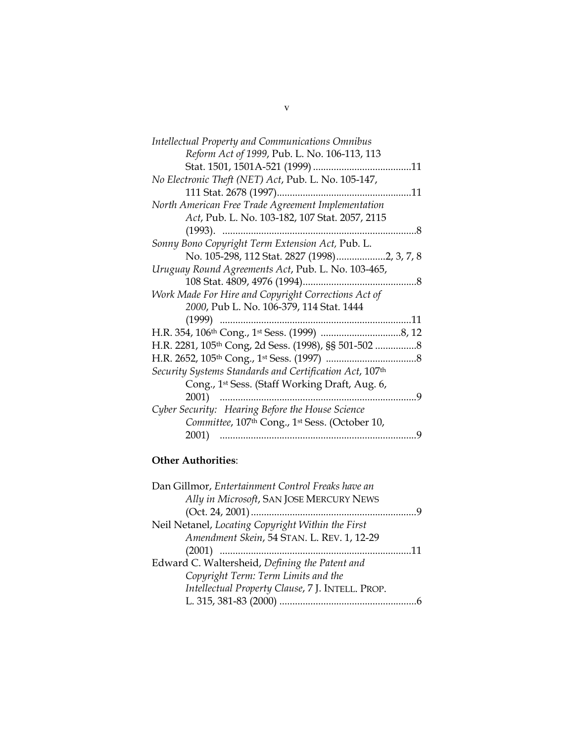| <b>Intellectual Property and Communications Omnibus</b> |                |
|---------------------------------------------------------|----------------|
| Reform Act of 1999, Pub. L. No. 106-113, 113            |                |
| Stat. 1501, 1501A-521 (1999)<br>11                      |                |
| No Electronic Theft (NET) Act, Pub. L. No. 105-147,     |                |
|                                                         |                |
| North American Free Trade Agreement Implementation      |                |
| Act, Pub. L. No. 103-182, 107 Stat. 2057, 2115          |                |
| $(1993)$ .                                              |                |
| Sonny Bono Copyright Term Extension Act, Pub. L.        |                |
| No. 105-298, 112 Stat. 2827 (1998)2, 3, 7, 8            |                |
| Uruguay Round Agreements Act, Pub. L. No. 103-465,      |                |
|                                                         |                |
| Work Made For Hire and Copyright Corrections Act of     |                |
| 2000, Pub L. No. 106-379, 114 Stat. 1444                |                |
|                                                         |                |
|                                                         |                |
| H.R. 2281, 105th Cong, 2d Sess. (1998), §§ 501-502      |                |
|                                                         |                |
| Security Systems Standards and Certification Act, 107th |                |
| Cong., 1st Sess. (Staff Working Draft, Aug. 6,          |                |
| 2001)<br>.                                              | $\overline{q}$ |
| Cyber Security: Hearing Before the House Science        |                |
| Committee, 107th Cong., 1st Sess. (October 10,          |                |
| 2001)                                                   | 9              |
|                                                         |                |

## **Other Authorities**:

| Dan Gillmor, Entertainment Control Freaks have an |  |
|---------------------------------------------------|--|
| Ally in Microsoft, SAN JOSE MERCURY NEWS          |  |
|                                                   |  |
| Neil Netanel, Locating Copyright Within the First |  |
| Amendment Skein, 54 STAN. L. REV. 1, 12-29        |  |
|                                                   |  |
|                                                   |  |
| Edward C. Waltersheid, Defining the Patent and    |  |
| Copyright Term: Term Limits and the               |  |
| Intellectual Property Clause, 7 J. INTELL. PROP.  |  |
|                                                   |  |

v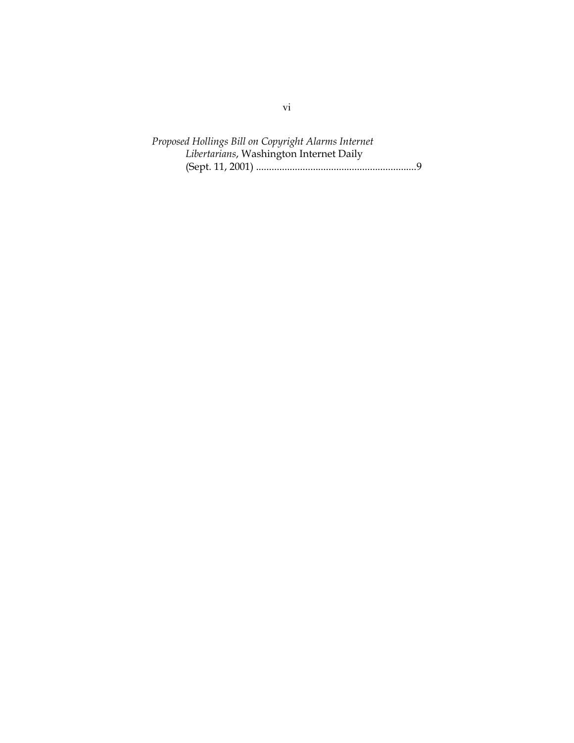*Proposed Hollings Bill on Copyright Alarms Internet Libertarians*, Washington Internet Daily (Sept. 11, 2001) ..............................................................9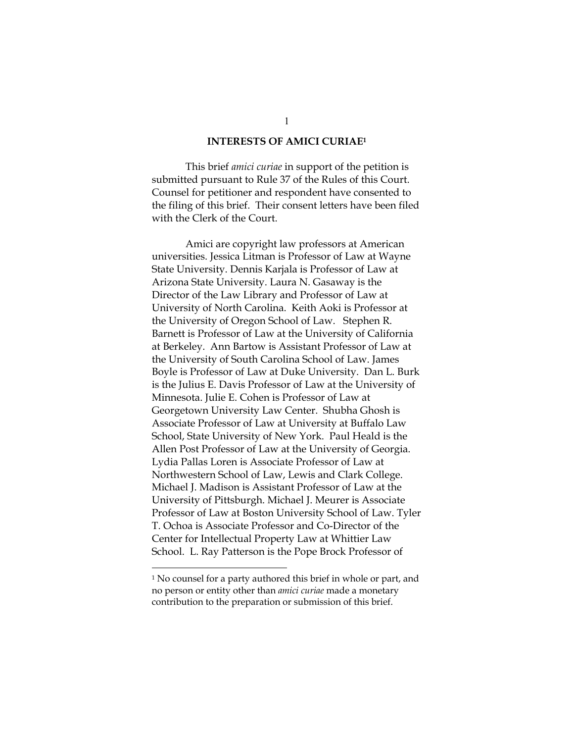#### **INTERESTS OF AMICI CURIA[E1](#page-8-0)**

This brief *amici curiae* in support of the petition is submitted pursuant to Rule 37 of the Rules of this Court. Counsel for petitioner and respondent have consented to the filing of this brief. Their consent letters have been filed with the Clerk of the Court.

 Amici are copyright law professors at American universities. Jessica Litman is Professor of Law at Wayne State University. Dennis Karjala is Professor of Law at Arizona State University. Laura N. Gasaway is the Director of the Law Library and Professor of Law at University of North Carolina. Keith Aoki is Professor at the University of Oregon School of Law. Stephen R. Barnett is Professor of Law at the University of California at Berkeley. Ann Bartow is Assistant Professor of Law at the University of South Carolina School of Law. James Boyle is Professor of Law at Duke University. Dan L. Burk is the Julius E. Davis Professor of Law at the University of Minnesota. Julie E. Cohen is Professor of Law at Georgetown University Law Center. Shubha Ghosh is Associate Professor of Law at University at Buffalo Law School, State University of New York. Paul Heald is the Allen Post Professor of Law at the University of Georgia. Lydia Pallas Loren is Associate Professor of Law at Northwestern School of Law, Lewis and Clark College. Michael J. Madison is Assistant Professor of Law at the University of Pittsburgh. Michael J. Meurer is Associate Professor of Law at Boston University School of Law. Tyler T. Ochoa is Associate Professor and Co-Director of the Center for Intellectual Property Law at Whittier Law School. L. Ray Patterson is the Pope Brock Professor of

 $\overline{a}$ 

<span id="page-8-0"></span><sup>1</sup> No counsel for a party authored this brief in whole or part, and no person or entity other than *amici curiae* made a monetary contribution to the preparation or submission of this brief.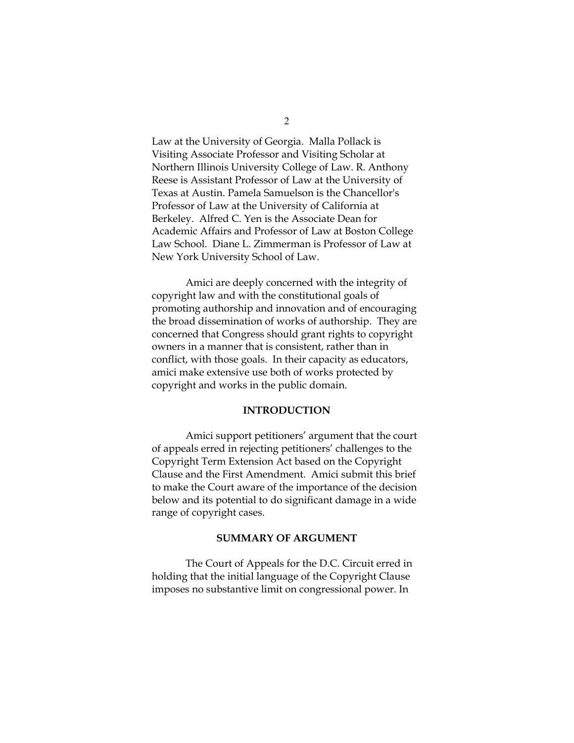Law at the University of Georgia. Malla Pollack is Visiting Associate Professor and Visiting Scholar at Northern Illinois University College of Law. R. Anthony Reese is Assistant Professor of Law at the University of Texas at Austin. Pamela Samuelson is the Chancellor's Professor of Law at the University of California at Berkeley. Alfred C. Yen is the Associate Dean for Academic Affairs and Professor of Law at Boston College Law School. Diane L. Zimmerman is Professor of Law at New York University School of Law.

Amici are deeply concerned with the integrity of copyright law and with the constitutional goals of promoting authorship and innovation and of encouraging the broad dissemination of works of authorship. They are concerned that Congress should grant rights to copyright owners in a manner that is consistent, rather than in conflict, with those goals. In their capacity as educators, amici make extensive use both of works protected by copyright and works in the public domain.

#### **INTRODUCTION**

Amici support petitioners' argument that the court of appeals erred in rejecting petitioners' challenges to the Copyright Term Extension Act based on the Copyright Clause and the First Amendment. Amici submit this brief to make the Court aware of the importance of the decision below and its potential to do significant damage in a wide range of copyright cases.

## **SUMMARY OF ARGUMENT**

The Court of Appeals for the D.C. Circuit erred in holding that the initial language of the Copyright Clause imposes no substantive limit on congressional power. In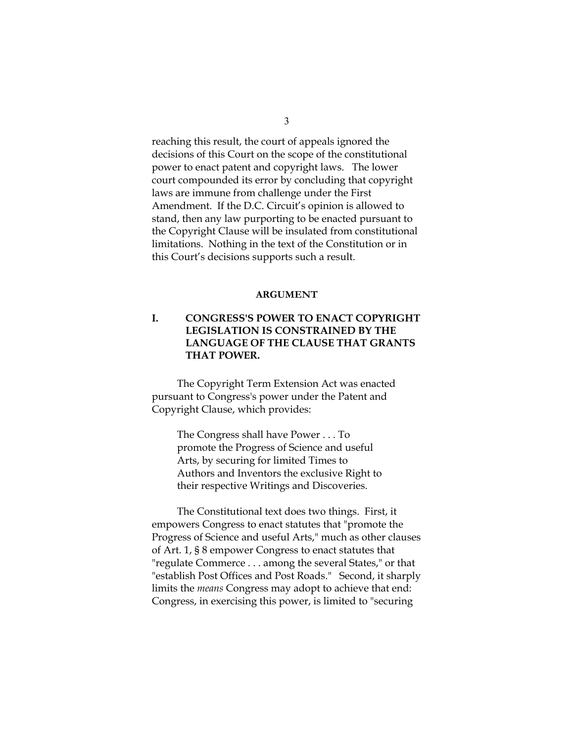reaching this result, the court of appeals ignored the decisions of this Court on the scope of the constitutional power to enact patent and copyright laws. The lower court compounded its error by concluding that copyright laws are immune from challenge under the First Amendment. If the D.C. Circuit's opinion is allowed to stand, then any law purporting to be enacted pursuant to the Copyright Clause will be insulated from constitutional limitations. Nothing in the text of the Constitution or in this Court's decisions supports such a result.

#### **ARGUMENT**

## **I. CONGRESS'S POWER TO ENACT COPYRIGHT LEGISLATION IS CONSTRAINED BY THE LANGUAGE OF THE CLAUSE THAT GRANTS THAT POWER.**

The Copyright Term Extension Act was enacted pursuant to Congress's power under the Patent and Copyright Clause, which provides:

> The Congress shall have Power . . . To promote the Progress of Science and useful Arts, by securing for limited Times to Authors and Inventors the exclusive Right to their respective Writings and Discoveries.

The Constitutional text does two things. First, it empowers Congress to enact statutes that "promote the Progress of Science and useful Arts," much as other clauses of Art. 1, § 8 empower Congress to enact statutes that "regulate Commerce . . . among the several States," or that "establish Post Offices and Post Roads." Second, it sharply limits the *means* Congress may adopt to achieve that end: Congress, in exercising this power, is limited to "securing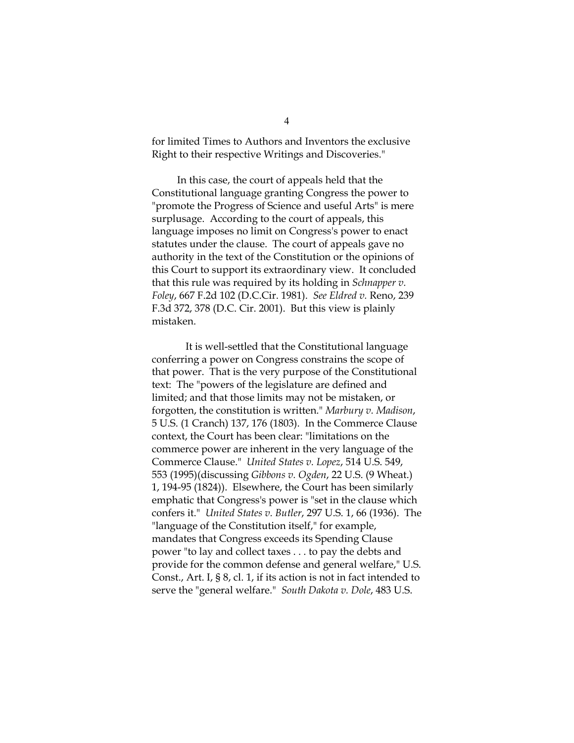for limited Times to Authors and Inventors the exclusive Right to their respective Writings and Discoveries."

In this case, the court of appeals held that the Constitutional language granting Congress the power to "promote the Progress of Science and useful Arts" is mere surplusage. According to the court of appeals, this language imposes no limit on Congress's power to enact statutes under the clause. The court of appeals gave no authority in the text of the Constitution or the opinions of this Court to support its extraordinary view. It concluded that this rule was required by its holding in *Schnapper v. Foley*, 667 F.2d 102 (D.C.Cir. 1981). *See Eldred v.* Reno, 239 F.3d 372, 378 (D.C. Cir. 2001). But this view is plainly mistaken.

It is well-settled that the Constitutional language conferring a power on Congress constrains the scope of that power. That is the very purpose of the Constitutional text: The "powers of the legislature are defined and limited; and that those limits may not be mistaken, or forgotten, the constitution is written." *Marbury v. Madison*, 5 U.S. (1 Cranch) 137, 176 (1803). In the Commerce Clause context, the Court has been clear: "limitations on the commerce power are inherent in the very language of the Commerce Clause." *United States v. Lopez*, 514 U.S. 549, 553 (1995)(discussing *Gibbons v. Ogden*, 22 U.S. (9 Wheat.) 1, 194-95 (1824)). Elsewhere, the Court has been similarly emphatic that Congress's power is "set in the clause which confers it." *United States v. Butler*, 297 U.S. 1, 66 (1936). The "language of the Constitution itself," for example, mandates that Congress exceeds its Spending Clause power "to lay and collect taxes . . . to pay the debts and provide for the common defense and general welfare," U.S. Const., Art. I, § 8, cl. 1, if its action is not in fact intended to serve the "general welfare." *South Dakota v. Dole*, 483 U.S.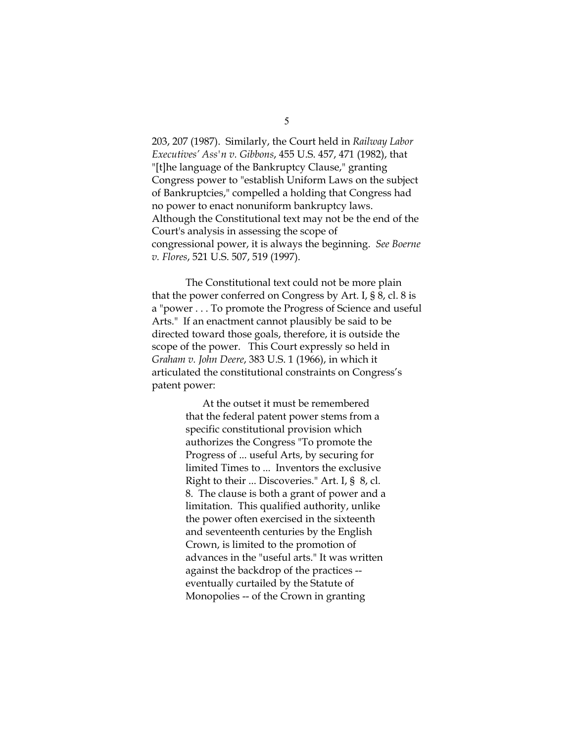203, 207 (1987). Similarly, the Court held in *Railway Labor Executives' Ass'n v. Gibbons*, 455 U.S. 457, 471 (1982), that "[t]he language of the Bankruptcy Clause," granting Congress power to "establish Uniform Laws on the subject of Bankruptcies," compelled a holding that Congress had no power to enact nonuniform bankruptcy laws. Although the Constitutional text may not be the end of the Court's analysis in assessing the scope of congressional power, it is always the beginning. *See Boerne v. Flores*, 521 U.S. 507, 519 (1997).

The Constitutional text could not be more plain that the power conferred on Congress by Art. I, § 8, cl. 8 is a "power . . . To promote the Progress of Science and useful Arts." If an enactment cannot plausibly be said to be directed toward those goals, therefore, it is outside the scope of the power. This Court expressly so held in *Graham v. John Deere*, 383 U.S. 1 (1966), in which it articulated the constitutional constraints on Congress's patent power:

> At the outset it must be remembered that the federal patent power stems from a specific constitutional provision which authorizes the Congress "To promote the Progress of ... useful Arts, by securing for limited Times to ... Inventors the exclusive Right to their ... Discoveries." Art. I, § 8, cl. 8. The clause is both a grant of power and a limitation. This qualified authority, unlike the power often exercised in the sixteenth and seventeenth centuries by the English Crown, is limited to the promotion of advances in the "useful arts." It was written against the backdrop of the practices - eventually curtailed by the Statute of Monopolies -- of the Crown in granting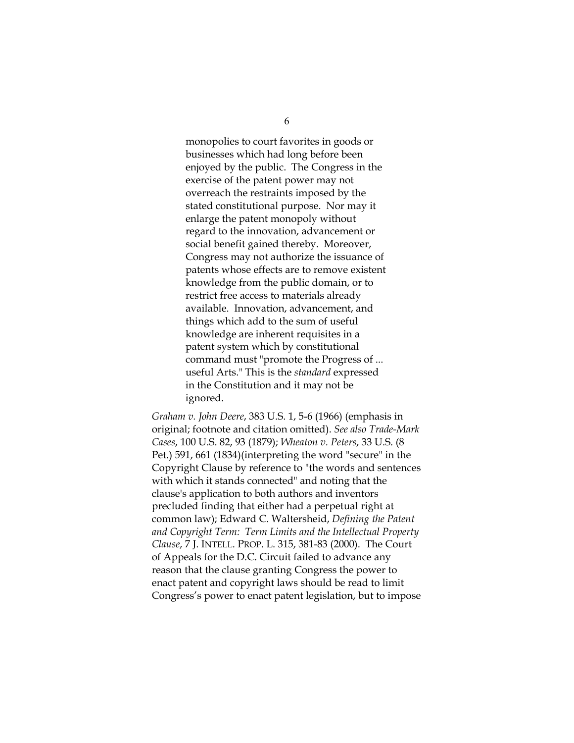monopolies to court favorites in goods or businesses which had long before been enjoyed by the public. The Congress in the exercise of the patent power may not overreach the restraints imposed by the stated constitutional purpose. Nor may it enlarge the patent monopoly without regard to the innovation, advancement or social benefit gained thereby. Moreover, Congress may not authorize the issuance of patents whose effects are to remove existent knowledge from the public domain, or to restrict free access to materials already available. Innovation, advancement, and things which add to the sum of useful knowledge are inherent requisites in a patent system which by constitutional command must "promote the Progress of ... useful Arts." This is the *standard* expressed in the Constitution and it may not be ignored.

*Graham v. John Deere*, 383 U.S. 1, 5-6 (1966) (emphasis in original; footnote and citation omitted). *See also Trade-Mark Cases*, 100 U.S. 82, 93 (1879); *Wheaton v. Peters*, 33 U.S. (8 Pet.) 591, 661 (1834)(interpreting the word "secure" in the Copyright Clause by reference to "the words and sentences with which it stands connected" and noting that the clause's application to both authors and inventors precluded finding that either had a perpetual right at common law); Edward C. Waltersheid, *Defining the Patent and Copyright Term: Term Limits and the Intellectual Property Clause*, 7 J. INTELL. PROP. L. 315, 381-83 (2000). The Court of Appeals for the D.C. Circuit failed to advance any reason that the clause granting Congress the power to enact patent and copyright laws should be read to limit Congress's power to enact patent legislation, but to impose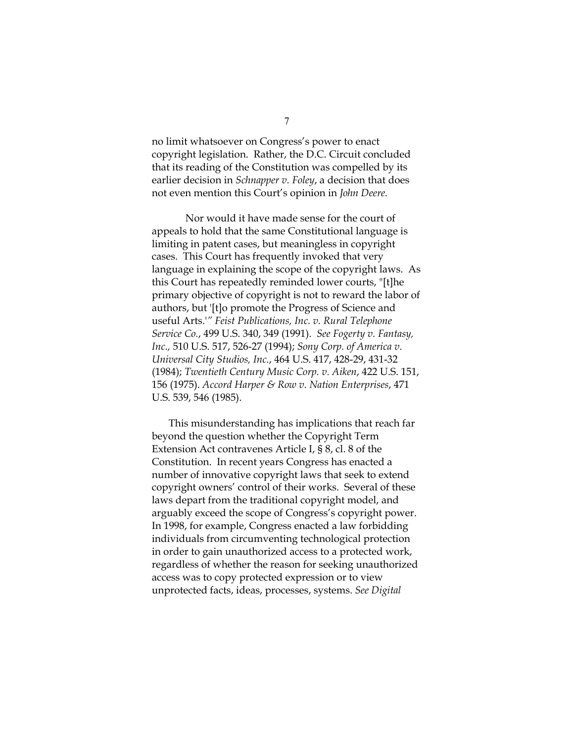no limit whatsoever on Congress's power to enact copyright legislation. Rather, the D.C. Circuit concluded that its reading of the Constitution was compelled by its earlier decision in *Schnapper v. Foley*, a decision that does not even mention this Court's opinion in *John Deere.* 

Nor would it have made sense for the court of appeals to hold that the same Constitutional language is limiting in patent cases, but meaningless in copyright cases. This Court has frequently invoked that very language in explaining the scope of the copyright laws. As this Court has repeatedly reminded lower courts, "[t]he primary objective of copyright is not to reward the labor of authors, but '[t]o promote the Progress of Science and useful Arts.'*" Feist Publications, Inc. v. Rural Telephone Service Co.*, 499 U.S. 340, 349 (1991). *See Fogerty v. Fantasy, Inc.,* 510 U.S. 517, 526-27 (1994); *Sony Corp. of America v. Universal City Studios, Inc.*, 464 U.S. 417, 428-29, 431-32 (1984); *Twentieth Century Music Corp. v. Aiken*, 422 U.S. 151, 156 (1975). *Accord Harper & Row v. Nation Enterprises*, 471 U.S. 539, 546 (1985).

This misunderstanding has implications that reach far beyond the question whether the Copyright Term Extension Act contravenes Article I, § 8, cl. 8 of the Constitution. In recent years Congress has enacted a number of innovative copyright laws that seek to extend copyright owners' control of their works. Several of these laws depart from the traditional copyright model, and arguably exceed the scope of Congress's copyright power. In 1998, for example, Congress enacted a law forbidding individuals from circumventing technological protection in order to gain unauthorized access to a protected work, regardless of whether the reason for seeking unauthorized access was to copy protected expression or to view unprotected facts, ideas, processes, systems. *See Digital*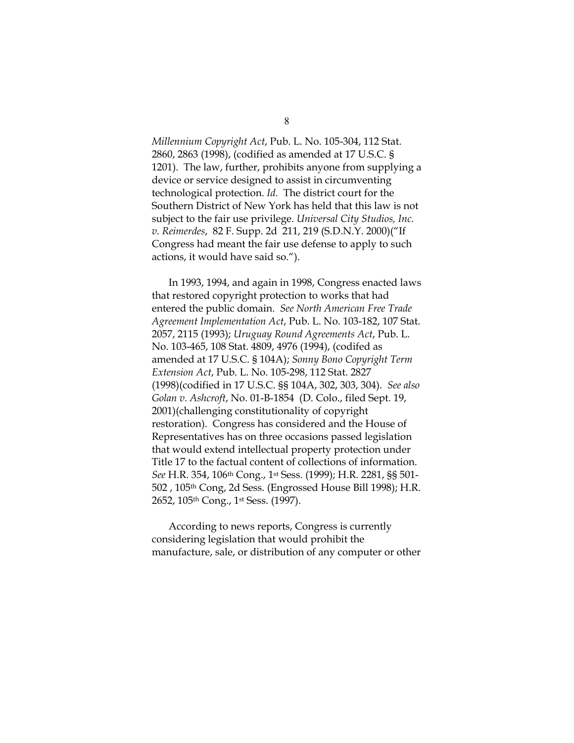*Millennium Copyright Act*, Pub. L. No. 105-304, 112 Stat. 2860, 2863 (1998), (codified as amended at 17 U.S.C. § 1201). The law, further, prohibits anyone from supplying a device or service designed to assist in circumventing technological protection. *Id.* The district court for the Southern District of New York has held that this law is not subject to the fair use privilege. *Universal City Studios, Inc. v. Reimerdes*, 82 F. Supp. 2d 211, 219 (S.D.N.Y. 2000)("If Congress had meant the fair use defense to apply to such actions, it would have said so.").

In 1993, 1994, and again in 1998, Congress enacted laws that restored copyright protection to works that had entered the public domain. *See North American Free Trade Agreement Implementation Act*, Pub. L. No. 103-182, 107 Stat. 2057, 2115 (1993); *Uruguay Round Agreements Act*, Pub. L. No. 103-465, 108 Stat. 4809, 4976 (1994), (codifed as amended at 17 U.S.C. § 104A); *Sonny Bono Copyright Term Extension Act*, Pub. L. No. 105-298, 112 Stat. 2827 (1998)(codified in 17 U.S.C. §§ 104A, 302, 303, 304). *See also Golan v. Ashcroft*, No. 01-B-1854 (D. Colo., filed Sept. 19, 2001)(challenging constitutionality of copyright restoration). Congress has considered and the House of Representatives has on three occasions passed legislation that would extend intellectual property protection under Title 17 to the factual content of collections of information. *See* H.R. 354, 106th Cong., 1st Sess. (1999); H.R. 2281, §§ 501- 502 , 105th Cong, 2d Sess. (Engrossed House Bill 1998); H.R. 2652, 105th Cong., 1st Sess. (1997).

According to news reports, Congress is currently considering legislation that would prohibit the manufacture, sale, or distribution of any computer or other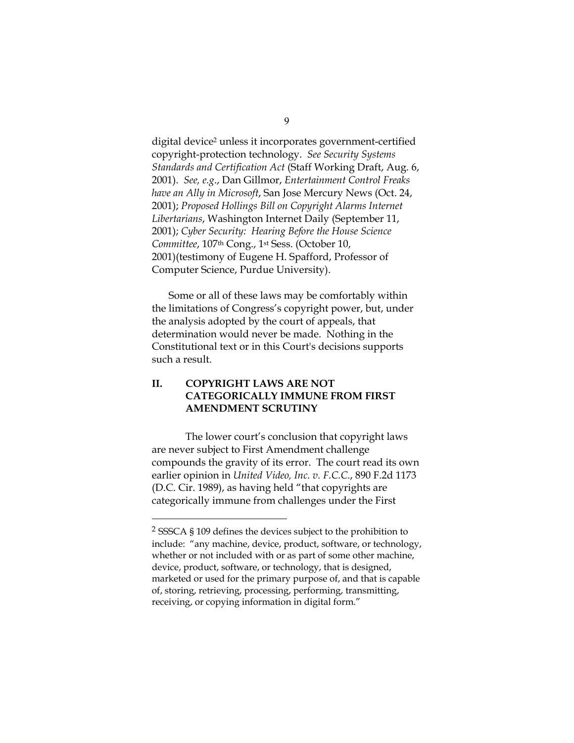digital device<sup>2</sup> unless it incorporates government-certified copyright-protection technology. *See Security Systems Standards and Certification Act* (Staff Working Draft, Aug. 6, 2001). *See, e.g*., Dan Gillmor, *Entertainment Control Freaks have an Ally in Microsoft*, San Jose Mercury News (Oct. 24, 2001); *Proposed Hollings Bill on Copyright Alarms Internet Libertarians*, Washington Internet Daily (September 11, 2001); *Cyber Security: Hearing Before the House Science Committee*, 107th Cong., 1st Sess. (October 10, 2001)(testimony of Eugene H. Spafford, Professor of Computer Science, Purdue University).

Some or all of these laws may be comfortably within the limitations of Congress's copyright power, but, under the analysis adopted by the court of appeals, that determination would never be made. Nothing in the Constitutional text or in this Court's decisions supports such a result.

## **II. COPYRIGHT LAWS ARE NOT CATEGORICALLY IMMUNE FROM FIRST AMENDMENT SCRUTINY**

The lower court's conclusion that copyright laws are never subject to First Amendment challenge compounds the gravity of its error. The court read its own earlier opinion in *United Video, Inc. v. F.C.C.*, 890 F.2d 1173 (D.C. Cir. 1989), as having held "that copyrights are categorically immune from challenges under the First

 $\overline{a}$ 

<span id="page-16-0"></span><sup>2</sup> SSSCA § 109 defines the devices subject to the prohibition to include: "any machine, device, product, software, or technology, whether or not included with or as part of some other machine, device, product, software, or technology, that is designed, marketed or used for the primary purpose of, and that is capable of, storing, retrieving, processing, performing, transmitting, receiving, or copying information in digital form."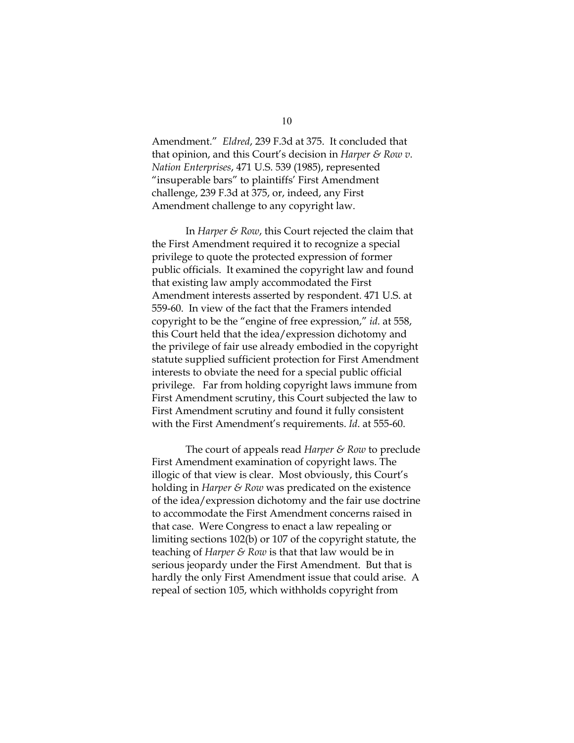Amendment." *Eldred*, 239 F.3d at 375. It concluded that that opinion, and this Court's decision in *Harper & Row v. Nation Enterprises*, 471 U.S. 539 (1985), represented "insuperable bars" to plaintiffs' First Amendment challenge, 239 F.3d at 375, or, indeed, any First Amendment challenge to any copyright law.

In *Harper & Row*, this Court rejected the claim that the First Amendment required it to recognize a special privilege to quote the protected expression of former public officials. It examined the copyright law and found that existing law amply accommodated the First Amendment interests asserted by respondent. 471 U.S. at 559-60. In view of the fact that the Framers intended copyright to be the "engine of free expression," *id*. at 558, this Court held that the idea/expression dichotomy and the privilege of fair use already embodied in the copyright statute supplied sufficient protection for First Amendment interests to obviate the need for a special public official privilege. Far from holding copyright laws immune from First Amendment scrutiny, this Court subjected the law to First Amendment scrutiny and found it fully consistent with the First Amendment's requirements. *Id*. at 555-60.

The court of appeals read *Harper & Row* to preclude First Amendment examination of copyright laws. The illogic of that view is clear. Most obviously, this Court's holding in *Harper & Row* was predicated on the existence of the idea/expression dichotomy and the fair use doctrine to accommodate the First Amendment concerns raised in that case. Were Congress to enact a law repealing or limiting sections 102(b) or 107 of the copyright statute, the teaching of *Harper & Row* is that that law would be in serious jeopardy under the First Amendment. But that is hardly the only First Amendment issue that could arise. A repeal of section 105, which withholds copyright from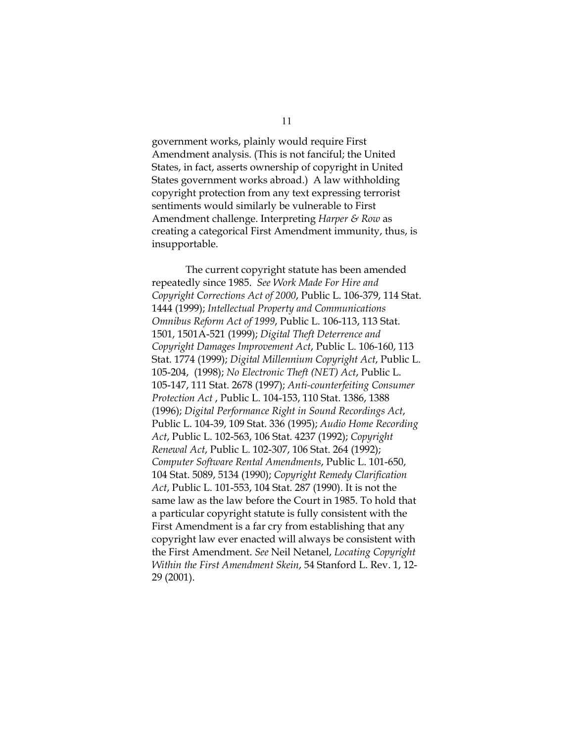government works, plainly would require First Amendment analysis. (This is not fanciful; the United States, in fact, asserts ownership of copyright in United States government works abroad.) A law withholding copyright protection from any text expressing terrorist sentiments would similarly be vulnerable to First Amendment challenge. Interpreting *Harper & Row* as creating a categorical First Amendment immunity, thus, is insupportable.

The current copyright statute has been amended repeatedly since 1985. *See Work Made For Hire and Copyright Corrections Act of 2000*, Public L. 106-379, 114 Stat. 1444 (1999); *Intellectual Property and Communications Omnibus Reform Act of 1999*, Public L. 106-113, 113 Stat. 1501, 1501A-521 (1999); *Digital Theft Deterrence and Copyright Damages Improvement Act*, Public L. 106-160, 113 Stat. 1774 (1999); *Digital Millennium Copyright Act*, Public L. 105-204, (1998); *No Electronic Theft (NET) Act*, Public L. 105-147, 111 Stat. 2678 (1997); *Anti-counterfeiting Consumer Protection Act* , Public L. 104-153, 110 Stat. 1386, 1388 (1996); *Digital Performance Right in Sound Recordings Act*, Public L. 104-39, 109 Stat. 336 (1995); *Audio Home Recording Act*, Public L. 102-563, 106 Stat. 4237 (1992); *Copyright Renewal Act*, Public L. 102-307, 106 Stat. 264 (1992); *Computer Software Rental Amendments*, Public L. 101-650, 104 Stat. 5089, 5134 (1990); *Copyright Remedy Clarification Act*, Public L. 101-553, 104 Stat. 287 (1990). It is not the same law as the law before the Court in 1985. To hold that a particular copyright statute is fully consistent with the First Amendment is a far cry from establishing that any copyright law ever enacted will always be consistent with the First Amendment. *See* Neil Netanel, *Locating Copyright Within the First Amendment Skein*, 54 Stanford L. Rev. 1, 12- 29 (2001).